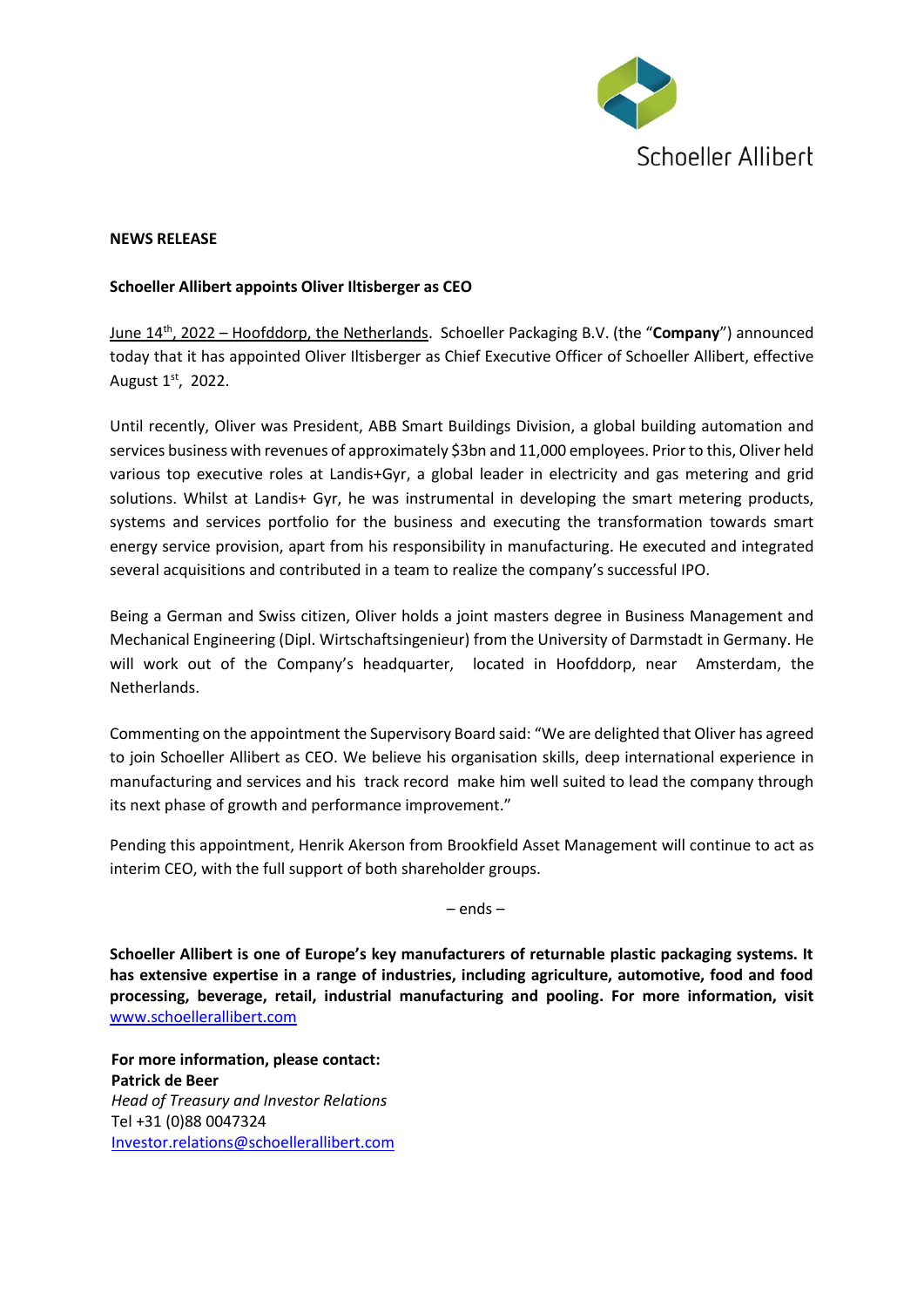

## **NEWS RELEASE**

## **Schoeller Allibert appoints Oliver Iltisberger as CEO**

June 14 th , 2022 – Hoofddorp, the Netherlands. Schoeller Packaging B.V. (the "**Company**") announced today that it has appointed Oliver Iltisberger as Chief Executive Officer of Schoeller Allibert, effective August 1st, 2022.

Until recently, Oliver was President, ABB Smart Buildings Division, a global building automation and services business with revenues of approximately \$3bn and 11,000 employees. Prior to this, Oliver held various top executive roles at Landis+Gyr, a global leader in electricity and gas metering and grid solutions. Whilst at Landis+ Gyr, he was instrumental in developing the smart metering products, systems and services portfolio for the business and executing the transformation towards smart energy service provision, apart from his responsibility in manufacturing. He executed and integrated several acquisitions and contributed in a team to realize the company's successful IPO.

Being a German and Swiss citizen, Oliver holds a joint masters degree in Business Management and Mechanical Engineering (Dipl. Wirtschaftsingenieur) from the University of Darmstadt in Germany. He will work out of the Company's headquarter, located in Hoofddorp, near Amsterdam, the Netherlands.

Commenting on the appointment the Supervisory Board said: "We are delighted that Oliver has agreed to join Schoeller Allibert as CEO. We believe his organisation skills, deep international experience in manufacturing and services and his track record make him well suited to lead the company through its next phase of growth and performance improvement."

Pending this appointment, Henrik Akerson from Brookfield Asset Management will continue to act as interim CEO, with the full support of both shareholder groups.

– ends –

**Schoeller Allibert is one of Europe's key manufacturers of returnable plastic packaging systems. It has extensive expertise in a range of industries, including agriculture, automotive, food and food processing, beverage, retail, industrial manufacturing and pooling. For more information, visit**  [www.schoellerallibert.com](http://www.schoellerallibert.com/)

**For more information, please contact: Patrick de Beer** *Head of Treasury and Investor Relations* Tel +31 (0)88 0047324 [Investor.relations@schoellerallibert.com](mailto:Investor.relations@schoellerallibert.com)